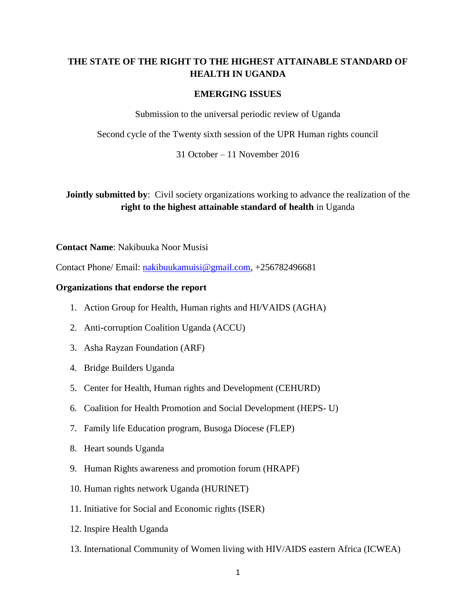# **THE STATE OF THE RIGHT TO THE HIGHEST ATTAINABLE STANDARD OF HEALTH IN UGANDA**

#### **EMERGING ISSUES**

Submission to the universal periodic review of Uganda

Second cycle of the Twenty sixth session of the UPR Human rights council

31 October – 11 November 2016

**Jointly submitted by:** Civil society organizations working to advance the realization of the **right to the highest attainable standard of health** in Uganda

#### **Contact Name**: Nakibuuka Noor Musisi

Contact Phone/ Email: [nakibuukamuisi@gmail.com,](mailto:nakibuukamuisi@gmail.com) +256782496681

#### **Organizations that endorse the report**

- 1. Action Group for Health, Human rights and HI/VAIDS (AGHA)
- 2. Anti-corruption Coalition Uganda (ACCU)
- 3. Asha Rayzan Foundation (ARF)
- 4. Bridge Builders Uganda
- 5. Center for Health, Human rights and Development (CEHURD)
- 6. Coalition for Health Promotion and Social Development (HEPS- U)
- 7. Family life Education program, Busoga Diocese (FLEP)
- 8. Heart sounds Uganda
- 9. Human Rights awareness and promotion forum (HRAPF)
- 10. Human rights network Uganda (HURINET)
- 11. Initiative for Social and Economic rights (ISER)
- 12. Inspire Health Uganda
- 13. International Community of Women living with HIV/AIDS eastern Africa (ICWEA)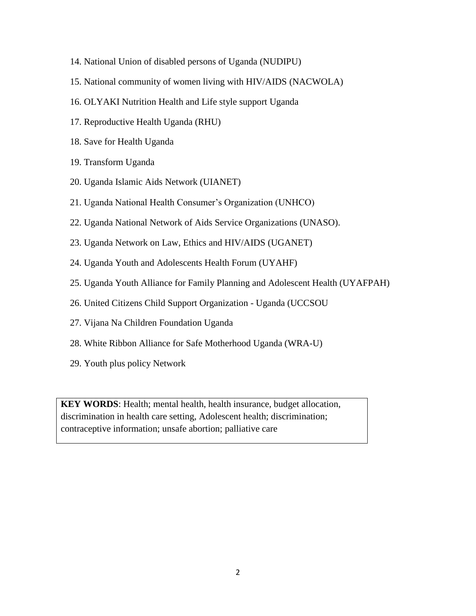- 14. National Union of disabled persons of Uganda (NUDIPU)
- 15. National community of women living with HIV/AIDS (NACWOLA)
- 16. OLYAKI Nutrition Health and Life style support Uganda
- 17. Reproductive Health Uganda (RHU)
- 18. Save for Health Uganda
- 19. Transform Uganda
- 20. Uganda Islamic Aids Network (UIANET)
- 21. Uganda National Health Consumer's Organization (UNHCO)
- 22. Uganda National Network of Aids Service Organizations (UNASO).
- 23. Uganda Network on Law, Ethics and HIV/AIDS (UGANET)
- 24. Uganda Youth and Adolescents Health Forum (UYAHF)
- 25. Uganda Youth Alliance for Family Planning and Adolescent Health (UYAFPAH)
- 26. United Citizens Child Support Organization Uganda (UCCSOU
- 27. Vijana Na Children Foundation Uganda
- 28. White Ribbon Alliance for Safe Motherhood Uganda (WRA-U)
- 29. Youth plus policy Network

**KEY WORDS**: Health; mental health, health insurance, budget allocation, discrimination in health care setting, Adolescent health; discrimination; contraceptive information; unsafe abortion; palliative care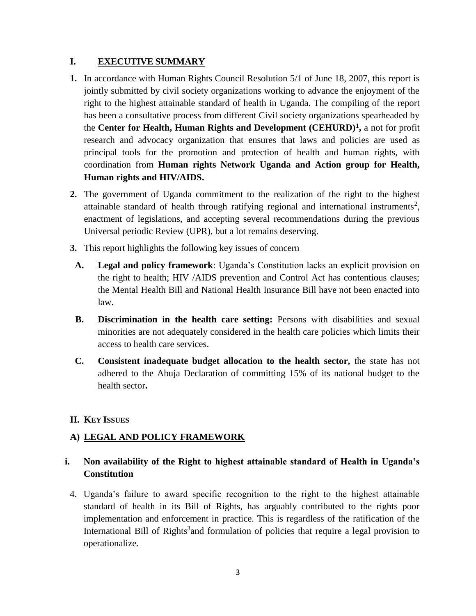# **I. EXECUTIVE SUMMARY**

- **1.** In accordance with Human Rights Council Resolution 5/1 of June 18, 2007, this report is jointly submitted by civil society organizations working to advance the enjoyment of the right to the highest attainable standard of health in Uganda. The compiling of the report has been a consultative process from different Civil society organizations spearheaded by the **Center for Health, Human Rights and Development (CEHURD)<sup>1</sup> ,** a not for profit research and advocacy organization that ensures that laws and policies are used as principal tools for the promotion and protection of health and human rights, with coordination from **Human rights Network Uganda and Action group for Health, Human rights and HIV/AIDS.**
- **2.** The government of Uganda commitment to the realization of the right to the highest attainable standard of health through ratifying regional and international instruments<sup>2</sup>, enactment of legislations, and accepting several recommendations during the previous Universal periodic Review (UPR), but a lot remains deserving.
- **3.** This report highlights the following key issues of concern
- **A. Legal and policy framework**: Uganda's Constitution lacks an explicit provision on the right to health; HIV /AIDS prevention and Control Act has contentious clauses; the Mental Health Bill and National Health Insurance Bill have not been enacted into law.
- **B. Discrimination in the health care setting:** Persons with disabilities and sexual minorities are not adequately considered in the health care policies which limits their access to health care services.
- **C. Consistent inadequate budget allocation to the health sector,** the state has not adhered to the Abuja Declaration of committing 15% of its national budget to the health sector**.**

# **II. KEY ISSUES**

# **A) LEGAL AND POLICY FRAMEWORK**

# **i. Non availability of the Right to highest attainable standard of Health in Uganda's Constitution**

4. Uganda's failure to award specific recognition to the right to the highest attainable standard of health in its Bill of Rights, has arguably contributed to the rights poor implementation and enforcement in practice. This is regardless of the ratification of the International Bill of Rights<sup>3</sup> and formulation of policies that require a legal provision to operationalize.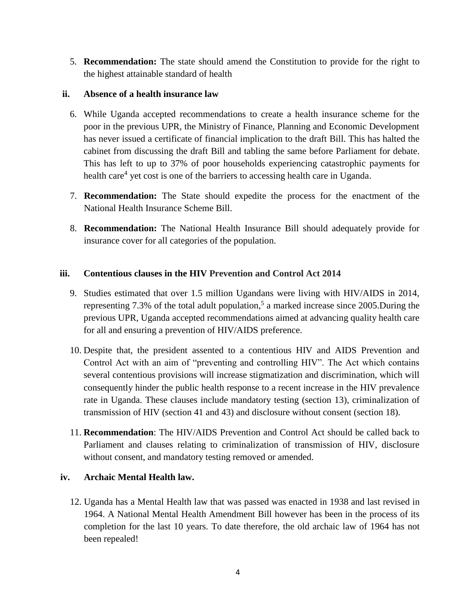5. **Recommendation:** The state should amend the Constitution to provide for the right to the highest attainable standard of health

### **ii. Absence of a health insurance law**

- 6. While Uganda accepted recommendations to create a health insurance scheme for the poor in the previous UPR, the Ministry of Finance, Planning and Economic Development has never issued a certificate of financial implication to the draft Bill. This has halted the cabinet from discussing the draft Bill and tabling the same before Parliament for debate. This has left to up to 37% of poor households experiencing catastrophic payments for health care<sup>4</sup> yet cost is one of the barriers to accessing health care in Uganda.
- 7. **Recommendation:** The State should expedite the process for the enactment of the National Health Insurance Scheme Bill.
- 8. **Recommendation:** The National Health Insurance Bill should adequately provide for insurance cover for all categories of the population.

### **iii. Contentious clauses in the HIV Prevention and Control Act 2014**

- 9. Studies estimated that over 1.5 million Ugandans were living with HIV/AIDS in 2014, representing 7.3% of the total adult population,<sup>5</sup> a marked increase since 2005. During the previous UPR, Uganda accepted recommendations aimed at advancing quality health care for all and ensuring a prevention of HIV/AIDS preference.
- 10. Despite that, the president assented to a contentious HIV and AIDS Prevention and Control Act with an aim of "preventing and controlling HIV". The Act which contains several contentious provisions will increase stigmatization and discrimination, which will consequently hinder the public health response to a recent increase in the HIV prevalence rate in Uganda. These clauses include mandatory testing (section 13), criminalization of transmission of HIV (section 41 and 43) and disclosure without consent (section 18).
- 11. **Recommendation**: The HIV/AIDS Prevention and Control Act should be called back to Parliament and clauses relating to criminalization of transmission of HIV, disclosure without consent, and mandatory testing removed or amended.

# **iv. Archaic Mental Health law.**

12. Uganda has a Mental Health law that was passed was enacted in 1938 and last revised in 1964. A National Mental Health Amendment Bill however has been in the process of its completion for the last 10 years. To date therefore, the old archaic law of 1964 has not been repealed!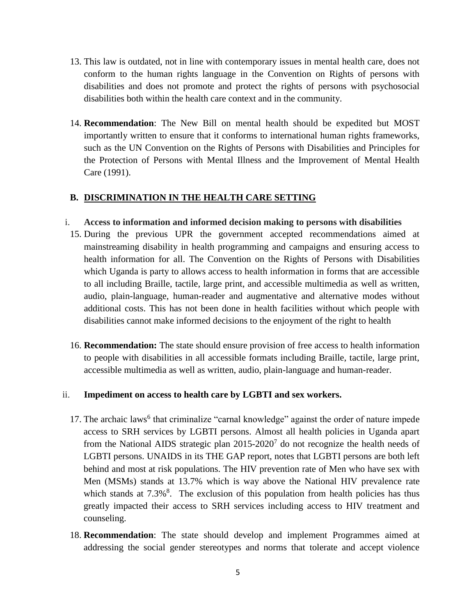- 13. This law is outdated, not in line with contemporary issues in mental health care, does not conform to the human rights language in the Convention on Rights of persons with disabilities and does not promote and protect the rights of persons with psychosocial disabilities both within the health care context and in the community.
- 14. **Recommendation**: The New Bill on mental health should be expedited but MOST importantly written to ensure that it conforms to international human rights frameworks, such as the UN Convention on the Rights of Persons with Disabilities and Principles for the Protection of Persons with Mental Illness and the Improvement of Mental Health Care (1991).

# **B. DISCRIMINATION IN THE HEALTH CARE SETTING**

### i. **Access to information and informed decision making to persons with disabilities**

- 15. During the previous UPR the government accepted recommendations aimed at mainstreaming disability in health programming and campaigns and ensuring access to health information for all. The Convention on the Rights of Persons with Disabilities which Uganda is party to allows access to health information in forms that are accessible to all including Braille, tactile, large print, and accessible multimedia as well as written, audio, plain-language, human-reader and augmentative and alternative modes without additional costs. This has not been done in health facilities without which people with disabilities cannot make informed decisions to the enjoyment of the right to health
- 16. **Recommendation:** The state should ensure provision of free access to health information to people with disabilities in all accessible formats including Braille, tactile, large print, accessible multimedia as well as written, audio, plain-language and human-reader.

# ii. **Impediment on access to health care by LGBTI and sex workers.**

- 17. The archaic laws<sup>6</sup> that criminalize "carnal knowledge" against the order of nature impede access to SRH services by LGBTI persons. Almost all health policies in Uganda apart from the National AIDS strategic plan  $2015{\text -}2020^7$  do not recognize the health needs of LGBTI persons. UNAIDS in its THE GAP report, notes that LGBTI persons are both left behind and most at risk populations. The HIV prevention rate of Men who have sex with Men (MSMs) stands at 13.7% which is way above the National HIV prevalence rate which stands at  $7.3\%$ <sup>8</sup>. The exclusion of this population from health policies has thus greatly impacted their access to SRH services including access to HIV treatment and counseling.
- 18. **Recommendation**: The state should develop and implement Programmes aimed at addressing the social gender stereotypes and norms that tolerate and accept violence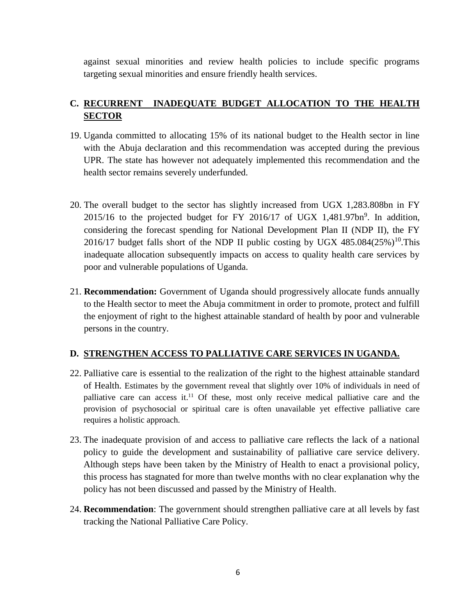against sexual minorities and review health policies to include specific programs targeting sexual minorities and ensure friendly health services.

# **C. RECURRENT INADEQUATE BUDGET ALLOCATION TO THE HEALTH SECTOR**

- 19. Uganda committed to allocating 15% of its national budget to the Health sector in line with the Abuja declaration and this recommendation was accepted during the previous UPR. The state has however not adequately implemented this recommendation and the health sector remains severely underfunded.
- 20. The overall budget to the sector has slightly increased from UGX 1,283.808bn in FY  $2015/16$  to the projected budget for FY 2016/17 of UGX 1,481.97bn<sup>9</sup>. In addition, considering the forecast spending for National Development Plan II (NDP II), the FY 2016/17 budget falls short of the NDP II public costing by UGX  $485.084(25%)^{10}$ . This inadequate allocation subsequently impacts on access to quality health care services by poor and vulnerable populations of Uganda.
- 21. **Recommendation:** Government of Uganda should progressively allocate funds annually to the Health sector to meet the Abuja commitment in order to promote, protect and fulfill the enjoyment of right to the highest attainable standard of health by poor and vulnerable persons in the country.

# **D. STRENGTHEN ACCESS TO PALLIATIVE CARE SERVICES IN UGANDA.**

- 22. Palliative care is essential to the realization of the right to the highest attainable standard of Health. Estimates by the government reveal that slightly over 10% of individuals in need of palliative care can access it.<sup>11</sup> Of these, most only receive medical palliative care and the provision of psychosocial or spiritual care is often unavailable yet effective palliative care requires a holistic approach.
- 23. The inadequate provision of and access to palliative care reflects the lack of a national policy to guide the development and sustainability of palliative care service delivery. Although steps have been taken by the Ministry of Health to enact a provisional policy, this process has stagnated for more than twelve months with no clear explanation why the policy has not been discussed and passed by the Ministry of Health.
- 24. **Recommendation**: The government should strengthen palliative care at all levels by fast tracking the National Palliative Care Policy.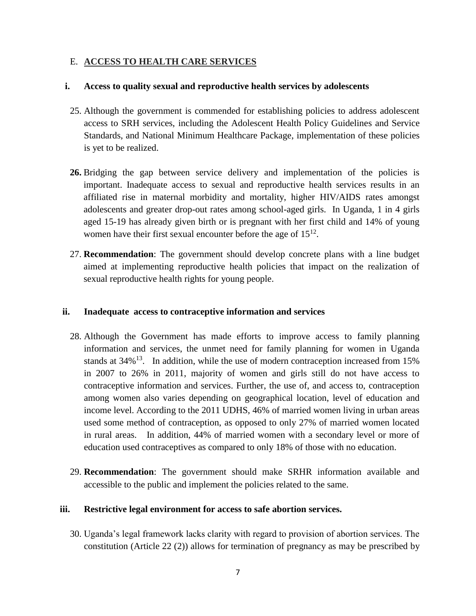#### E. **ACCESS TO HEALTH CARE SERVICES**

#### **i. Access to quality sexual and reproductive health services by adolescents**

- 25. Although the government is commended for establishing policies to address adolescent access to SRH services, including the Adolescent Health Policy Guidelines and Service Standards, and National Minimum Healthcare Package, implementation of these policies is yet to be realized.
- **26.** Bridging the gap between service delivery and implementation of the policies is important. Inadequate access to sexual and reproductive health services results in an affiliated rise in maternal morbidity and mortality, higher HIV/AIDS rates amongst adolescents and greater drop-out rates among school-aged girls. In Uganda, 1 in 4 girls aged 15-19 has already given birth or is pregnant with her first child and 14% of young women have their first sexual encounter before the age of  $15^{12}$ .
- 27. **Recommendation**: The government should develop concrete plans with a line budget aimed at implementing reproductive health policies that impact on the realization of sexual reproductive health rights for young people.

#### **ii. Inadequate access to contraceptive information and services**

- 28. Although the Government has made efforts to improve access to family planning information and services, the unmet need for family planning for women in Uganda stands at  $34\%$ <sup>13</sup>. In addition, while the use of modern contraception increased from 15% in 2007 to 26% in 2011, majority of women and girls still do not have access to contraceptive information and services. Further, the use of, and access to, contraception among women also varies depending on geographical location, level of education and income level. According to the 2011 UDHS, 46% of married women living in urban areas used some method of contraception, as opposed to only 27% of married women located in rural areas. In addition, 44% of married women with a secondary level or more of education used contraceptives as compared to only 18% of those with no education.
- 29. **Recommendation**: The government should make SRHR information available and accessible to the public and implement the policies related to the same.

#### **iii. Restrictive legal environment for access to safe abortion services.**

30. Uganda's legal framework lacks clarity with regard to provision of abortion services. The constitution (Article 22 (2)) allows for termination of pregnancy as may be prescribed by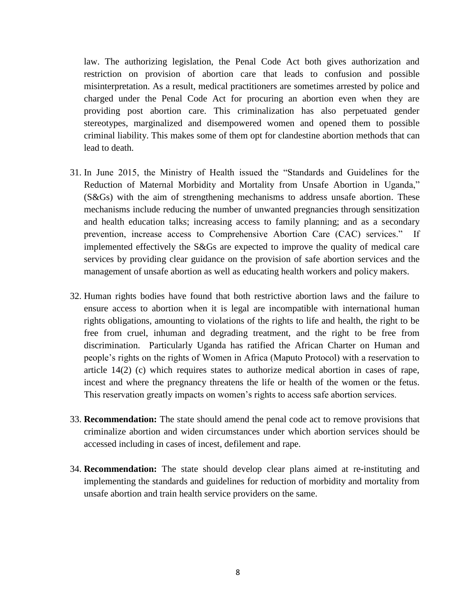law. The authorizing legislation, the Penal Code Act both gives authorization and restriction on provision of abortion care that leads to confusion and possible misinterpretation. As a result, medical practitioners are sometimes arrested by police and charged under the Penal Code Act for procuring an abortion even when they are providing post abortion care. This criminalization has also perpetuated gender stereotypes, marginalized and disempowered women and opened them to possible criminal liability. This makes some of them opt for clandestine abortion methods that can lead to death.

- 31. In June 2015, the Ministry of Health issued the "Standards and Guidelines for the Reduction of Maternal Morbidity and Mortality from Unsafe Abortion in Uganda," (S&Gs) with the aim of strengthening mechanisms to address unsafe abortion. These mechanisms include reducing the number of unwanted pregnancies through sensitization and health education talks; increasing access to family planning; and as a secondary prevention, increase access to Comprehensive Abortion Care (CAC) services." If implemented effectively the S&Gs are expected to improve the quality of medical care services by providing clear guidance on the provision of safe abortion services and the management of unsafe abortion as well as educating health workers and policy makers.
- 32. Human rights bodies have found that both restrictive abortion laws and the failure to ensure access to abortion when it is legal are incompatible with international human rights obligations, amounting to violations of the rights to life and health, the right to be free from cruel, inhuman and degrading treatment, and the right to be free from discrimination. Particularly Uganda has ratified the African Charter on Human and people's rights on the rights of Women in Africa (Maputo Protocol) with a reservation to article 14(2) (c) which requires states to authorize medical abortion in cases of rape, incest and where the pregnancy threatens the life or health of the women or the fetus. This reservation greatly impacts on women's rights to access safe abortion services.
- 33. **Recommendation:** The state should amend the penal code act to remove provisions that criminalize abortion and widen circumstances under which abortion services should be accessed including in cases of incest, defilement and rape.
- 34. **Recommendation:** The state should develop clear plans aimed at re-instituting and implementing the standards and guidelines for reduction of morbidity and mortality from unsafe abortion and train health service providers on the same.